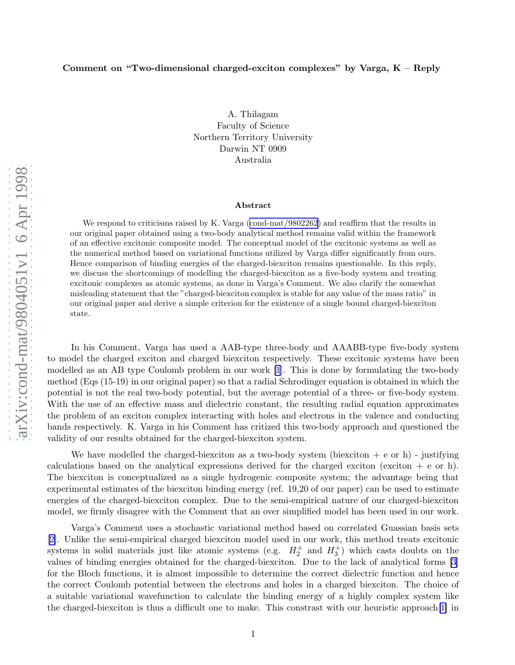## Comment on "Two-dimensional charged-exciton complexes" by Varga, K – Reply

A. Thilagam Faculty of Science Northern Territory University Darwin NT 0909 Australia

## Abstract

Werespond to criticisms raised by K. Varga ([cond-mat/9802262](http://arxiv.org/abs/cond-mat/9802262)) and reaffirm that the results in our original paper obtained using a two-body analytical method remains valid within the framework of an effective excitonic composite model. The conceptual model of the excitonic systems as well as the numerical method based on variational functions utilized by Varga differ significantly from ours. Hence comparison of binding energies of the charged-biexciton remains questionable. In this reply, we discuss the shortcomings of modelling the charged-biexciton as a five-body system and treating excitonic complexes as atomic systems, as done in Varga's Comment. We also clarify the somewhat misleading statement that the "charged-biexciton complex is stable for any value of the mass ratio" in our original paper and derive a simple criterion for the existence of a single bound charged-biexciton state.

In his Comment, Varga has used a AAB-type three-body and AAABB-type five-body system to model the charged exciton and charged biexciton respectively. These excitonic systems have been modelled as an AB type Coulomb problem in our work [\[1](#page-1-0)]. This is done by formulating the two-body method (Eqs (15-19) in our original paper) so that a radial Schrodinger equation is obtained in which the potential is not the real two-body potential, but the average potential of a three- or five-body system. With the use of an effective mass and dielectric constant, the resulting radial equation approximates the problem of an exciton complex interacting with holes and electrons in the valence and conducting bands respectively. K. Varga in his Comment has critized this two-body approach and questioned the validity of our results obtained for the charged-biexciton system.

We have modelled the charged-biexciton as a two-body system (biexciton  $+e$  or h) - justifying calculations based on the analytical expressions derived for the charged exciton (exciton  $+ e$  or h). The biexciton is conceptualized as a single hydrogenic composite system; the advantage being that experimental estimates of the biexciton binding energy (ref. 19,20 of our paper) can be used to estimate energies of the charged-biexciton complex. Due to the semi-empirical nature of our charged-biexciton model, we firmly disagree with the Comment that an over simplified model has been used in our work.

Varga's Comment uses a stochastic variational method based on correlated Guassian basis sets [\[2\]](#page-1-0). Unlike the semi-empirical charged biexciton model used in our work, this method treats excitonic systems in solid materials just like atomic systems (e.g.  $H_2^+$  and  $H_3^+$ ) which casts doubts on the values of binding energies obtained for the charged-biexciton. Due to the lack of analytical forms [\[3\]](#page-1-0) for the Bloch functions, it is almost impossible to determine the correct dielectric function and hence the correct Coulomb potential between the electrons and holes in a charged biexciton. The choice of a suitable variational wavefunction to calculate the binding energy of a highly complex system like the charged-biexciton is thus a difficult one to make. This constrast with our heuristic approach[\[1\]](#page-1-0) in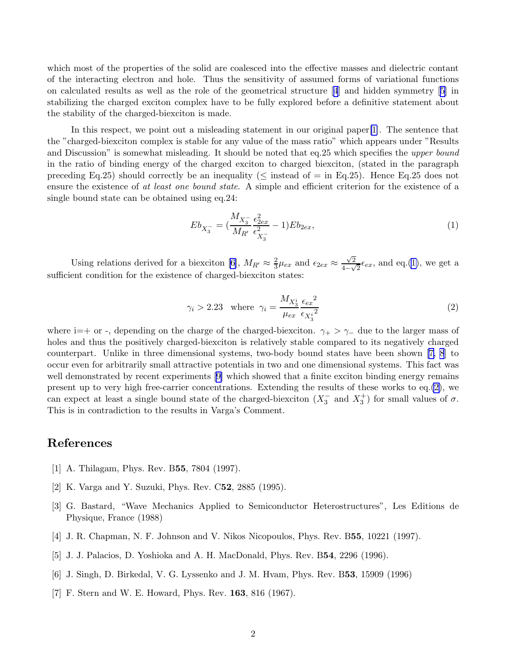<span id="page-1-0"></span>which most of the properties of the solid are coalesced into the effective masses and dielectric contant of the interacting electron and hole. Thus the sensitivity of assumed forms of variational functions on calculated results as well as the role of the geometrical structure [4] and hidden symmetry [5] in stabilizing the charged exciton complex have to be fully explored before a definitive statement about the stability of the charged-biexciton is made.

In this respect, we point out a misleading statement in our original paper[1]. The sentence that the "charged-biexciton complex is stable for any value of the mass ratio" which appears under "Results and Discussion" is somewhat misleading. It should be noted that eq.25 which specifies the upper bound in the ratio of binding energy of the charged exciton to charged biexciton, (stated in the paragraph preceding Eq.25) should correctly be an inequality ( $\leq$  instead of  $=$  in Eq.25). Hence Eq.25 does not ensure the existence of at least one bound state. A simple and efficient criterion for the existence of a single bound state can be obtained using eq.24:

$$
Eb_{X_3^-} = \left(\frac{M_{X_3^-}}{M_{R'}} \frac{\epsilon_{2ex}^2}{\epsilon_{X_3^-}^2} - 1\right) Eb_{2ex},\tag{1}
$$

Using relations derived for a biexciton [6],  $M_{R'} \approx \frac{2}{3}$  $\frac{2}{3}\mu_{ex}$  and  $\epsilon_{2ex} \approx \frac{\sqrt{2}}{4-\sqrt{2}}$  $\frac{\sqrt{2}}{4-\sqrt{2}}\epsilon_{ex}$ , and eq.(1), we get a sufficient condition for the existence of charged-biexciton states:

$$
\gamma_i > 2.23 \quad \text{where} \quad \gamma_i = \frac{M_{X_3^i}}{\mu_{ex}} \frac{\epsilon_{ex}^2}{\epsilon_{X_3^i}^2} \tag{2}
$$

where i=+ or -, depending on the charge of the charged-biexciton.  $\gamma_+ > \gamma_-$  due to the larger mass of holes and thus the positively charged-biexciton is relatively stable compared to its negatively charged counterpart. Unlike in three dimensional systems, two-body bound states have been shown [7, [8](#page-2-0)] to occur even for arbitrarily small attractive potentials in two and one dimensional systems. This fact was well demonstrated by recent experiments  $[9]$  which showed that a finite exciton binding energy remains present up to very high free-carrier concentrations. Extending the results of these works to eq.(2), we can expect at least a single bound state of the charged-biexciton  $(X_3^-$  and  $X_3^+)$  for small values of  $\sigma$ . This is in contradiction to the results in Varga's Comment.

## References

- [1] A. Thilagam, Phys. Rev. B**55**, 7804 (1997).
- [2] K. Varga and Y. Suzuki, Phys. Rev. C52, 2885 (1995).
- [3] G. Bastard, "Wave Mechanics Applied to Semiconductor Heterostructures", Les Editions de Physique, France (1988)
- [4] J. R. Chapman, N. F. Johnson and V. Nikos Nicopoulos, Phys. Rev. B55, 10221 (1997).
- [5] J. J. Palacios, D. Yoshioka and A. H. MacDonald, Phys. Rev. B54, 2296 (1996).
- [6] J. Singh, D. Birkedal, V. G. Lyssenko and J. M. Hvam, Phys. Rev. B53, 15909 (1996)
- [7] F. Stern and W. E. Howard, Phys. Rev. 163, 816 (1967).